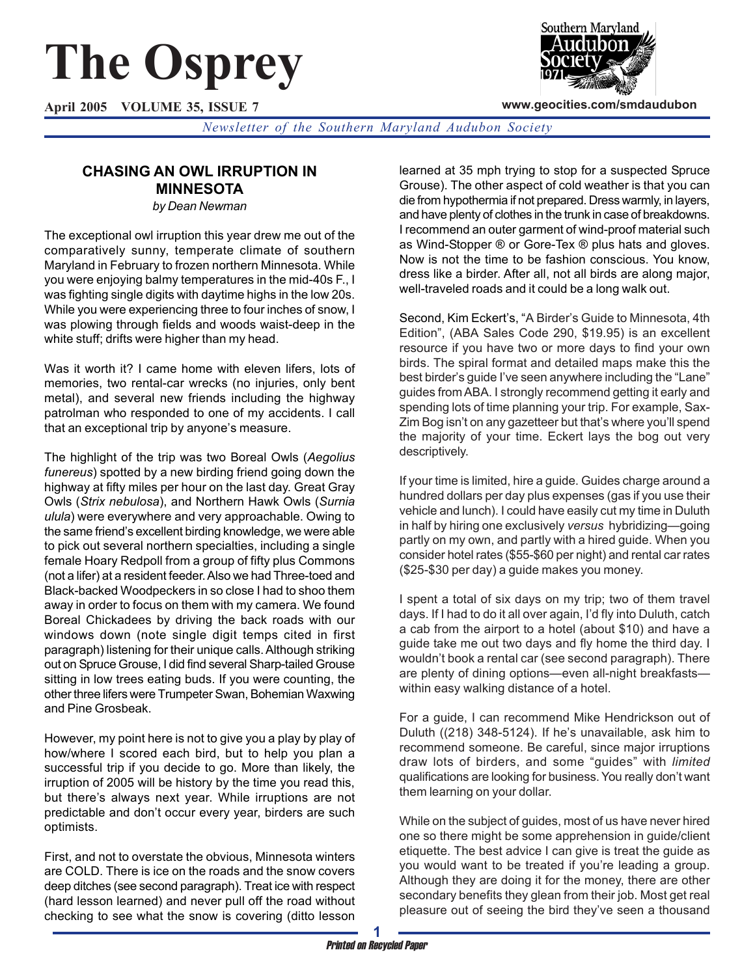# **The Osprey**

**April 2005 VOLUME 35, ISSUE 7**



**www.geocities.com/smdaudubon**

*Newsletter of the Southern Maryland Audubon Society*

# **CHASING AN OWL IRRUPTION IN MINNESOTA**

*by Dean Newman*

The exceptional owl irruption this year drew me out of the comparatively sunny, temperate climate of southern Maryland in February to frozen northern Minnesota. While you were enjoying balmy temperatures in the mid-40s F., I was fighting single digits with daytime highs in the low 20s. While you were experiencing three to four inches of snow, I was plowing through fields and woods waist-deep in the white stuff; drifts were higher than my head.

Was it worth it? I came home with eleven lifers, lots of memories, two rental-car wrecks (no injuries, only bent metal), and several new friends including the highway patrolman who responded to one of my accidents. I call that an exceptional trip by anyone's measure.

The highlight of the trip was two Boreal Owls (*Aegolius funereus*) spotted by a new birding friend going down the highway at fifty miles per hour on the last day. Great Gray Owls (*Strix nebulosa*), and Northern Hawk Owls (*Surnia ulula*) were everywhere and very approachable. Owing to the same friend's excellent birding knowledge, we were able to pick out several northern specialties, including a single female Hoary Redpoll from a group of fifty plus Commons (not a lifer) at a resident feeder. Also we had Three-toed and Black-backed Woodpeckers in so close I had to shoo them away in order to focus on them with my camera. We found Boreal Chickadees by driving the back roads with our windows down (note single digit temps cited in first paragraph) listening for their unique calls. Although striking out on Spruce Grouse, I did find several Sharp-tailed Grouse sitting in low trees eating buds. If you were counting, the other three lifers were Trumpeter Swan, Bohemian Waxwing and Pine Grosbeak.

However, my point here is not to give you a play by play of how/where I scored each bird, but to help you plan a successful trip if you decide to go. More than likely, the irruption of 2005 will be history by the time you read this, but there's always next year. While irruptions are not predictable and don't occur every year, birders are such optimists.

First, and not to overstate the obvious, Minnesota winters are COLD. There is ice on the roads and the snow covers deep ditches (see second paragraph). Treat ice with respect (hard lesson learned) and never pull off the road without checking to see what the snow is covering (ditto lesson

learned at 35 mph trying to stop for a suspected Spruce Grouse). The other aspect of cold weather is that you can die from hypothermia if not prepared. Dress warmly, in layers, and have plenty of clothes in the trunk in case of breakdowns. I recommend an outer garment of wind-proof material such as Wind-Stopper ® or Gore-Tex ® plus hats and gloves. Now is not the time to be fashion conscious. You know, dress like a birder. After all, not all birds are along major, well-traveled roads and it could be a long walk out.

Second, Kim Eckert's, "A Birder's Guide to Minnesota, 4th Edition", (ABA Sales Code 290, \$19.95) is an excellent resource if you have two or more days to find your own birds. The spiral format and detailed maps make this the best birder's guide I've seen anywhere including the "Lane" guides from ABA. I strongly recommend getting it early and spending lots of time planning your trip. For example, Sax-Zim Bog isn't on any gazetteer but that's where you'll spend the majority of your time. Eckert lays the bog out very descriptively.

If your time is limited, hire a guide. Guides charge around a hundred dollars per day plus expenses (gas if you use their vehicle and lunch). I could have easily cut my time in Duluth in half by hiring one exclusively *versus* hybridizing—going partly on my own, and partly with a hired guide. When you consider hotel rates (\$55-\$60 per night) and rental car rates (\$25-\$30 per day) a guide makes you money.

I spent a total of six days on my trip; two of them travel days. If I had to do it all over again, I'd fly into Duluth, catch a cab from the airport to a hotel (about \$10) and have a guide take me out two days and fly home the third day. I wouldn't book a rental car (see second paragraph). There are plenty of dining options—even all-night breakfasts within easy walking distance of a hotel.

For a guide, I can recommend Mike Hendrickson out of Duluth ((218) 348-5124). If he's unavailable, ask him to recommend someone. Be careful, since major irruptions draw lots of birders, and some "guides" with *limited* qualifications are looking for business. You really don't want them learning on your dollar.

While on the subject of guides, most of us have never hired one so there might be some apprehension in guide/client etiquette. The best advice I can give is treat the guide as you would want to be treated if you're leading a group. Although they are doing it for the money, there are other secondary benefits they glean from their job. Most get real pleasure out of seeing the bird they've seen a thousand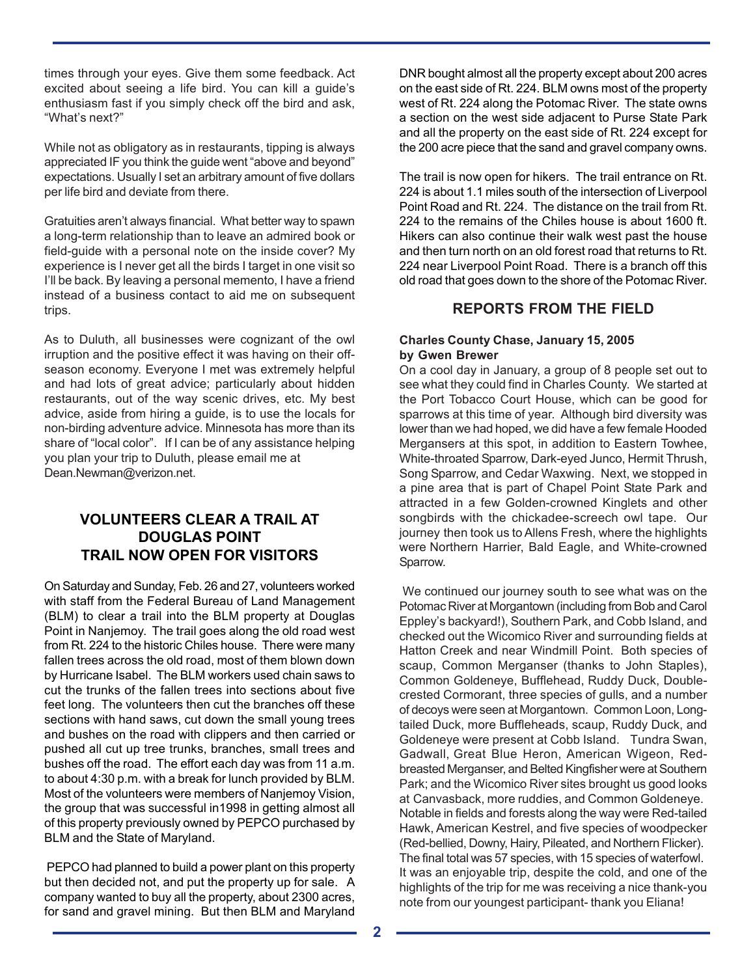times through your eyes. Give them some feedback. Act excited about seeing a life bird. You can kill a guide's enthusiasm fast if you simply check off the bird and ask, "What's next?"

While not as obligatory as in restaurants, tipping is always appreciated IF you think the guide went "above and beyond" expectations. Usually I set an arbitrary amount of five dollars per life bird and deviate from there.

Gratuities aren't always financial. What better way to spawn a long-term relationship than to leave an admired book or field-guide with a personal note on the inside cover? My experience is I never get all the birds I target in one visit so I'll be back. By leaving a personal memento, I have a friend instead of a business contact to aid me on subsequent trips.

As to Duluth, all businesses were cognizant of the owl irruption and the positive effect it was having on their offseason economy. Everyone I met was extremely helpful and had lots of great advice; particularly about hidden restaurants, out of the way scenic drives, etc. My best advice, aside from hiring a guide, is to use the locals for non-birding adventure advice. Minnesota has more than its share of "local color". If I can be of any assistance helping you plan your trip to Duluth, please email me at Dean.Newman@verizon.net.

## **VOLUNTEERS CLEAR A TRAIL AT DOUGLAS POINT TRAIL NOW OPEN FOR VISITORS**

On Saturday and Sunday, Feb. 26 and 27, volunteers worked with staff from the Federal Bureau of Land Management (BLM) to clear a trail into the BLM property at Douglas Point in Nanjemoy. The trail goes along the old road west from Rt. 224 to the historic Chiles house. There were many fallen trees across the old road, most of them blown down by Hurricane Isabel. The BLM workers used chain saws to cut the trunks of the fallen trees into sections about five feet long. The volunteers then cut the branches off these sections with hand saws, cut down the small young trees and bushes on the road with clippers and then carried or pushed all cut up tree trunks, branches, small trees and bushes off the road. The effort each day was from 11 a.m. to about 4:30 p.m. with a break for lunch provided by BLM. Most of the volunteers were members of Nanjemoy Vision, the group that was successful in1998 in getting almost all of this property previously owned by PEPCO purchased by BLM and the State of Maryland.

 PEPCO had planned to build a power plant on this property but then decided not, and put the property up for sale. A company wanted to buy all the property, about 2300 acres, for sand and gravel mining. But then BLM and Maryland DNR bought almost all the property except about 200 acres on the east side of Rt. 224. BLM owns most of the property west of Rt. 224 along the Potomac River. The state owns a section on the west side adjacent to Purse State Park and all the property on the east side of Rt. 224 except for the 200 acre piece that the sand and gravel company owns.

The trail is now open for hikers. The trail entrance on Rt. 224 is about 1.1 miles south of the intersection of Liverpool Point Road and Rt. 224. The distance on the trail from Rt. 224 to the remains of the Chiles house is about 1600 ft. Hikers can also continue their walk west past the house and then turn north on an old forest road that returns to Rt. 224 near Liverpool Point Road. There is a branch off this old road that goes down to the shore of the Potomac River.

## **REPORTS FROM THE FIELD**

#### **Charles County Chase, January 15, 2005 by Gwen Brewer**

On a cool day in January, a group of 8 people set out to see what they could find in Charles County. We started at the Port Tobacco Court House, which can be good for sparrows at this time of year. Although bird diversity was lower than we had hoped, we did have a few female Hooded Mergansers at this spot, in addition to Eastern Towhee, White-throated Sparrow, Dark-eyed Junco, Hermit Thrush, Song Sparrow, and Cedar Waxwing. Next, we stopped in a pine area that is part of Chapel Point State Park and attracted in a few Golden-crowned Kinglets and other songbirds with the chickadee-screech owl tape. Our journey then took us to Allens Fresh, where the highlights were Northern Harrier, Bald Eagle, and White-crowned Sparrow.

We continued our journey south to see what was on the Potomac River at Morgantown (including from Bob and Carol Eppley's backyard!), Southern Park, and Cobb Island, and checked out the Wicomico River and surrounding fields at Hatton Creek and near Windmill Point. Both species of scaup, Common Merganser (thanks to John Staples), Common Goldeneye, Bufflehead, Ruddy Duck, Doublecrested Cormorant, three species of gulls, and a number of decoys were seen at Morgantown. Common Loon, Longtailed Duck, more Buffleheads, scaup, Ruddy Duck, and Goldeneye were present at Cobb Island. Tundra Swan, Gadwall, Great Blue Heron, American Wigeon, Redbreasted Merganser, and Belted Kingfisher were at Southern Park; and the Wicomico River sites brought us good looks at Canvasback, more ruddies, and Common Goldeneye. Notable in fields and forests along the way were Red-tailed Hawk, American Kestrel, and five species of woodpecker (Red-bellied, Downy, Hairy, Pileated, and Northern Flicker). The final total was 57 species, with 15 species of waterfowl. It was an enjoyable trip, despite the cold, and one of the highlights of the trip for me was receiving a nice thank-you note from our youngest participant- thank you Eliana!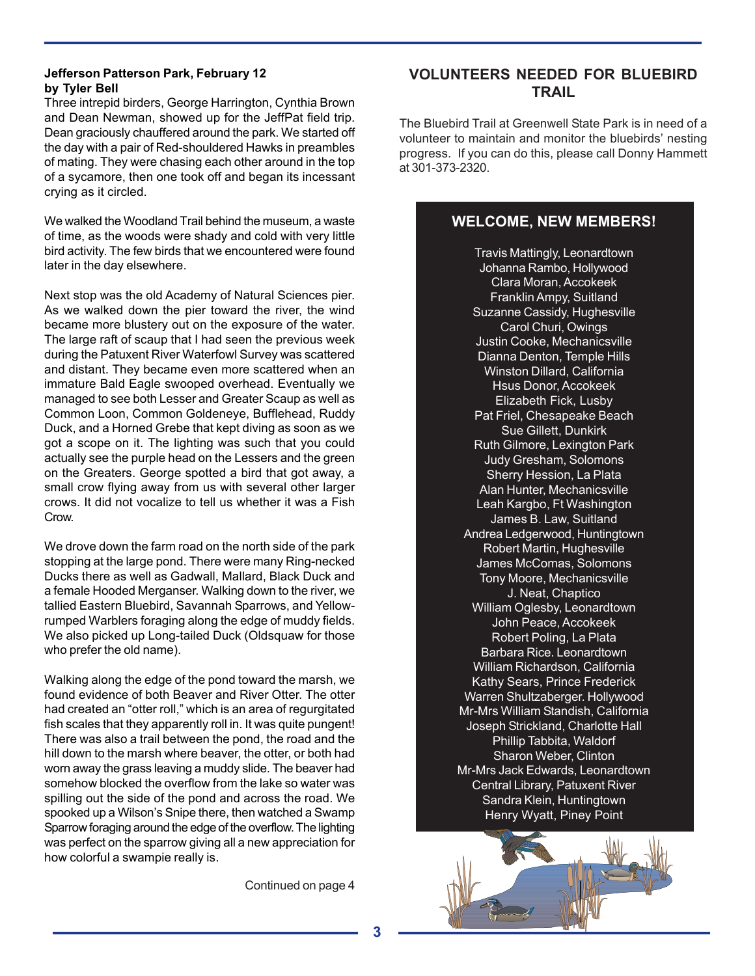#### **Jefferson Patterson Park, February 12 by Tyler Bell**

Three intrepid birders, George Harrington, Cynthia Brown and Dean Newman, showed up for the JeffPat field trip. Dean graciously chauffered around the park. We started off the day with a pair of Red-shouldered Hawks in preambles of mating. They were chasing each other around in the top of a sycamore, then one took off and began its incessant crying as it circled.

We walked the Woodland Trail behind the museum, a waste of time, as the woods were shady and cold with very little bird activity. The few birds that we encountered were found later in the day elsewhere.

Next stop was the old Academy of Natural Sciences pier. As we walked down the pier toward the river, the wind became more blustery out on the exposure of the water. The large raft of scaup that I had seen the previous week during the Patuxent River Waterfowl Survey was scattered and distant. They became even more scattered when an immature Bald Eagle swooped overhead. Eventually we managed to see both Lesser and Greater Scaup as well as Common Loon, Common Goldeneye, Bufflehead, Ruddy Duck, and a Horned Grebe that kept diving as soon as we got a scope on it. The lighting was such that you could actually see the purple head on the Lessers and the green on the Greaters. George spotted a bird that got away, a small crow flying away from us with several other larger crows. It did not vocalize to tell us whether it was a Fish Crow.

We drove down the farm road on the north side of the park stopping at the large pond. There were many Ring-necked Ducks there as well as Gadwall, Mallard, Black Duck and a female Hooded Merganser. Walking down to the river, we tallied Eastern Bluebird, Savannah Sparrows, and Yellowrumped Warblers foraging along the edge of muddy fields. We also picked up Long-tailed Duck (Oldsquaw for those who prefer the old name).

Walking along the edge of the pond toward the marsh, we found evidence of both Beaver and River Otter. The otter had created an "otter roll," which is an area of regurgitated fish scales that they apparently roll in. It was quite pungent! There was also a trail between the pond, the road and the hill down to the marsh where beaver, the otter, or both had worn away the grass leaving a muddy slide. The beaver had somehow blocked the overflow from the lake so water was spilling out the side of the pond and across the road. We spooked up a Wilson's Snipe there, then watched a Swamp Sparrow foraging around the edge of the overflow. The lighting was perfect on the sparrow giving all a new appreciation for how colorful a swampie really is.

Continued on page 4

## **VOLUNTEERS NEEDED FOR BLUEBIRD TRAIL**

The Bluebird Trail at Greenwell State Park is in need of a volunteer to maintain and monitor the bluebirds' nesting progress. If you can do this, please call Donny Hammett at 301-373-2320.

### **WELCOME, NEW MEMBERS!**

Travis Mattingly, Leonardtown Johanna Rambo, Hollywood Clara Moran, Accokeek Franklin Ampy, Suitland Suzanne Cassidy, Hughesville Carol Churi, Owings Justin Cooke, Mechanicsville Dianna Denton, Temple Hills Winston Dillard, California Hsus Donor, Accokeek Elizabeth Fick, Lusby Pat Friel, Chesapeake Beach Sue Gillett, Dunkirk Ruth Gilmore, Lexington Park Judy Gresham, Solomons Sherry Hession, La Plata Alan Hunter, Mechanicsville Leah Kargbo, Ft Washington James B. Law, Suitland Andrea Ledgerwood, Huntingtown Robert Martin, Hughesville James McComas, Solomons Tony Moore, Mechanicsville J. Neat, Chaptico William Oglesby, Leonardtown John Peace, Accokeek Robert Poling, La Plata Barbara Rice. Leonardtown William Richardson, California Kathy Sears, Prince Frederick Warren Shultzaberger. Hollywood Mr-Mrs William Standish, California Joseph Strickland, Charlotte Hall Phillip Tabbita, Waldorf Sharon Weber, Clinton Mr-Mrs Jack Edwards, Leonardtown Central Library, Patuxent River Sandra Klein, Huntingtown Henry Wyatt, Piney Point

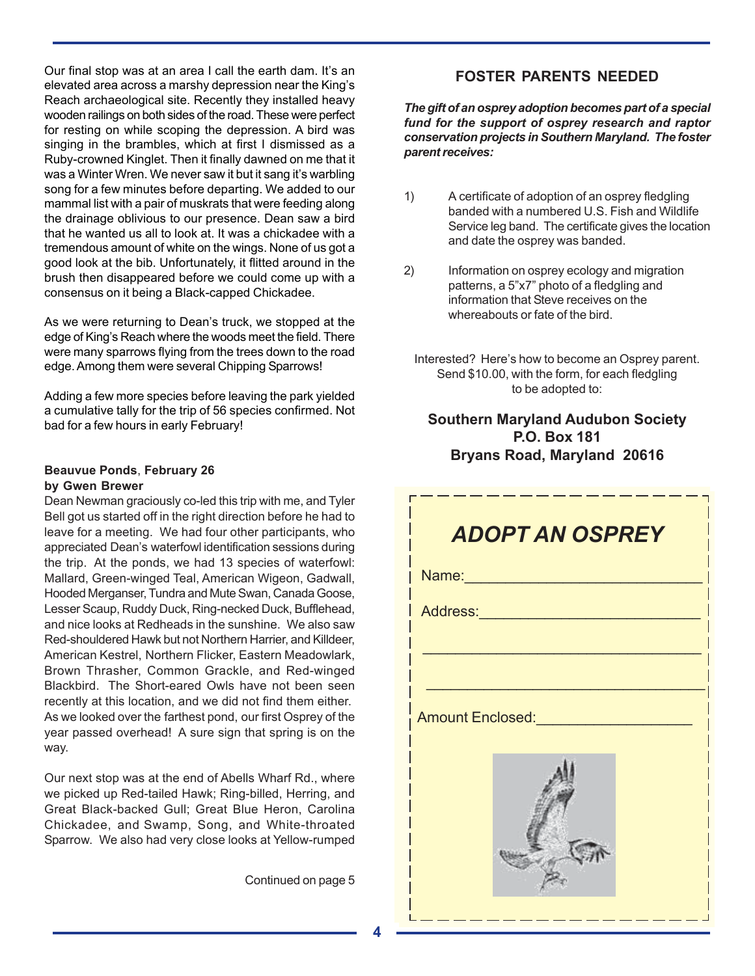Our final stop was at an area I call the earth dam. It's an elevated area across a marshy depression near the King's Reach archaeological site. Recently they installed heavy wooden railings on both sides of the road. These were perfect for resting on while scoping the depression. A bird was singing in the brambles, which at first I dismissed as a Ruby-crowned Kinglet. Then it finally dawned on me that it was a Winter Wren. We never saw it but it sang it's warbling song for a few minutes before departing. We added to our mammal list with a pair of muskrats that were feeding along the drainage oblivious to our presence. Dean saw a bird that he wanted us all to look at. It was a chickadee with a tremendous amount of white on the wings. None of us got a good look at the bib. Unfortunately, it flitted around in the brush then disappeared before we could come up with a consensus on it being a Black-capped Chickadee.

As we were returning to Dean's truck, we stopped at the edge of King's Reach where the woods meet the field. There were many sparrows flying from the trees down to the road edge. Among them were several Chipping Sparrows!

Adding a few more species before leaving the park yielded a cumulative tally for the trip of 56 species confirmed. Not bad for a few hours in early February!

#### **Beauvue Ponds**, **February 26 by Gwen Brewer**

Dean Newman graciously co-led this trip with me, and Tyler Bell got us started off in the right direction before he had to leave for a meeting. We had four other participants, who appreciated Dean's waterfowl identification sessions during the trip. At the ponds, we had 13 species of waterfowl: Mallard, Green-winged Teal, American Wigeon, Gadwall, Hooded Merganser, Tundra and Mute Swan, Canada Goose, Lesser Scaup, Ruddy Duck, Ring-necked Duck, Bufflehead, and nice looks at Redheads in the sunshine. We also saw Red-shouldered Hawk but not Northern Harrier, and Killdeer, American Kestrel, Northern Flicker, Eastern Meadowlark, Brown Thrasher, Common Grackle, and Red-winged Blackbird. The Short-eared Owls have not been seen recently at this location, and we did not find them either. As we looked over the farthest pond, our first Osprey of the year passed overhead! A sure sign that spring is on the way.

Our next stop was at the end of Abells Wharf Rd., where we picked up Red-tailed Hawk; Ring-billed, Herring, and Great Black-backed Gull; Great Blue Heron, Carolina Chickadee, and Swamp, Song, and White-throated Sparrow. We also had very close looks at Yellow-rumped

Continued on page 5

# **FOSTER PARENTS NEEDED**

*The gift of an osprey adoption becomes part of a special fund for the support of osprey research and raptor conservation projects in Southern Maryland. The foster parent receives:*

- 1) A certificate of adoption of an osprey fledgling banded with a numbered U.S. Fish and Wildlife Service leg band. The certificate gives the location and date the osprey was banded.
- 2) Information on osprey ecology and migration patterns, a 5"x7" photo of a fledgling and information that Steve receives on the whereabouts or fate of the bird.
	- Interested? Here's how to become an Osprey parent. Send \$10.00, with the form, for each fledgling to be adopted to:

# **Southern Maryland Audubon Society P.O. Box 181 Bryans Road, Maryland 20616**

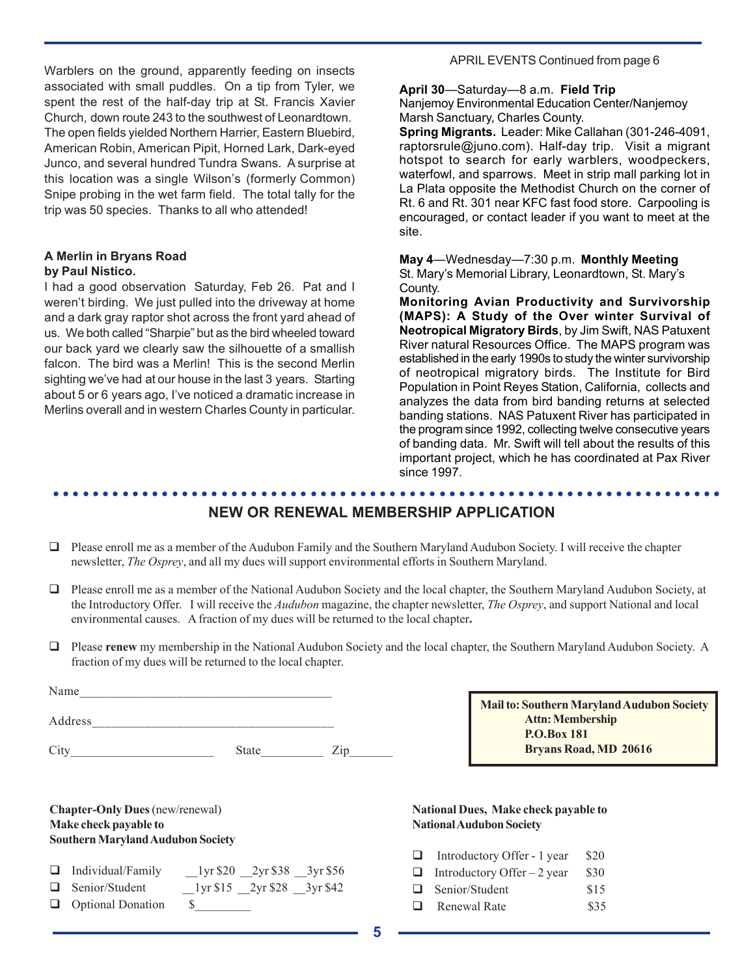Warblers on the ground, apparently feeding on insects associated with small puddles. On a tip from Tyler, we spent the rest of the half-day trip at St. Francis Xavier Church, down route 243 to the southwest of Leonardtown. The open fields yielded Northern Harrier, Eastern Bluebird, American Robin, American Pipit, Horned Lark, Dark-eyed Junco, and several hundred Tundra Swans. A surprise at this location was a single Wilson's (formerly Common) Snipe probing in the wet farm field. The total tally for the trip was 50 species. Thanks to all who attended!

#### **A Merlin in Bryans Road by Paul Nistico.**

I had a good observation Saturday, Feb 26. Pat and I weren't birding. We just pulled into the driveway at home and a dark gray raptor shot across the front yard ahead of us. We both called "Sharpie" but as the bird wheeled toward our back yard we clearly saw the silhouette of a smallish falcon. The bird was a Merlin! This is the second Merlin sighting we've had at our house in the last 3 years. Starting about 5 or 6 years ago, I've noticed a dramatic increase in Merlins overall and in western Charles County in particular.

#### APRIL EVENTS Continued from page 6

#### **April 30**—Saturday—8 a.m. **Field Trip**

Nanjemoy Environmental Education Center/Nanjemoy Marsh Sanctuary, Charles County.

**Spring Migrants.** Leader: Mike Callahan (301-246-4091, raptorsrule@juno.com). Half-day trip. Visit a migrant hotspot to search for early warblers, woodpeckers, waterfowl, and sparrows. Meet in strip mall parking lot in La Plata opposite the Methodist Church on the corner of Rt. 6 and Rt. 301 near KFC fast food store. Carpooling is encouraged, or contact leader if you want to meet at the site.

**May 4**—Wednesday—7:30 p.m. **Monthly Meeting** St. Mary's Memorial Library, Leonardtown, St. Mary's County.

**Monitoring Avian Productivity and Survivorship (MAPS): A Study of the Over winter Survival of Neotropical Migratory Birds**, by Jim Swift, NAS Patuxent River natural Resources Office. The MAPS program was established in the early 1990s to study the winter survivorship of neotropical migratory birds. The Institute for Bird Population in Point Reyes Station, California, collects and analyzes the data from bird banding returns at selected banding stations. NAS Patuxent River has participated in the program since 1992, collecting twelve consecutive years of banding data. Mr. Swift will tell about the results of this important project, which he has coordinated at Pax River since 1997.

#### **NEW OR RENEWAL MEMBERSHIP APPLICATION**

○○○○○○○○○○○○○○○○○○○○○○○○○○○○○○○○○○○○○○○○○○○○○ ○○○○○○○○○○○○○○○○○○○○○○○

- $\Box$  Please enroll me as a member of the Audubon Family and the Southern Maryland Audubon Society. I will receive the chapter newsletter, *The Osprey*, and all my dues will support environmental efforts in Southern Maryland.
- Please enroll me as a member of the National Audubon Society and the local chapter, the Southern Maryland Audubon Society, at the Introductory Offer.I will receive the *Audubon* magazine, the chapter newsletter, *The Osprey*, and support National and local environmental causes. A fraction of my dues will be returned to the local chapter**.**
- Please **renew** my membership in the National Audubon Society and the local chapter, the Southern Maryland Audubon Society. A fraction of my dues will be returned to the local chapter.

| Name    |              |  |
|---------|--------------|--|
| Address |              |  |
|         | <b>State</b> |  |

**Chapter-Only Dues** (new/renewal) **Make check payable to Southern Maryland Audubon Society**

| $\Box$ Individual/Family | 1yr \$20 2yr \$38 3yr \$56 |                            |
|--------------------------|----------------------------|----------------------------|
| $\Box$ Senior/Student    |                            | 1yr \$15 2yr \$28 3yr \$42 |

Optional Donation \$\_\_\_\_\_\_\_\_\_

**Mail to: Southern Maryland Audubon Society Attn: Membership P.O.Box 181 Bryans Road, MD 20616**

#### **National Dues, Make check payable to National Audubon Society**

- $\Box$  Introductory Offer 1 year \$20
- **Introductory Offer** 2 year  $$30$
- Senior/Student \$15
- **Exercise Renewal Rate** \$35